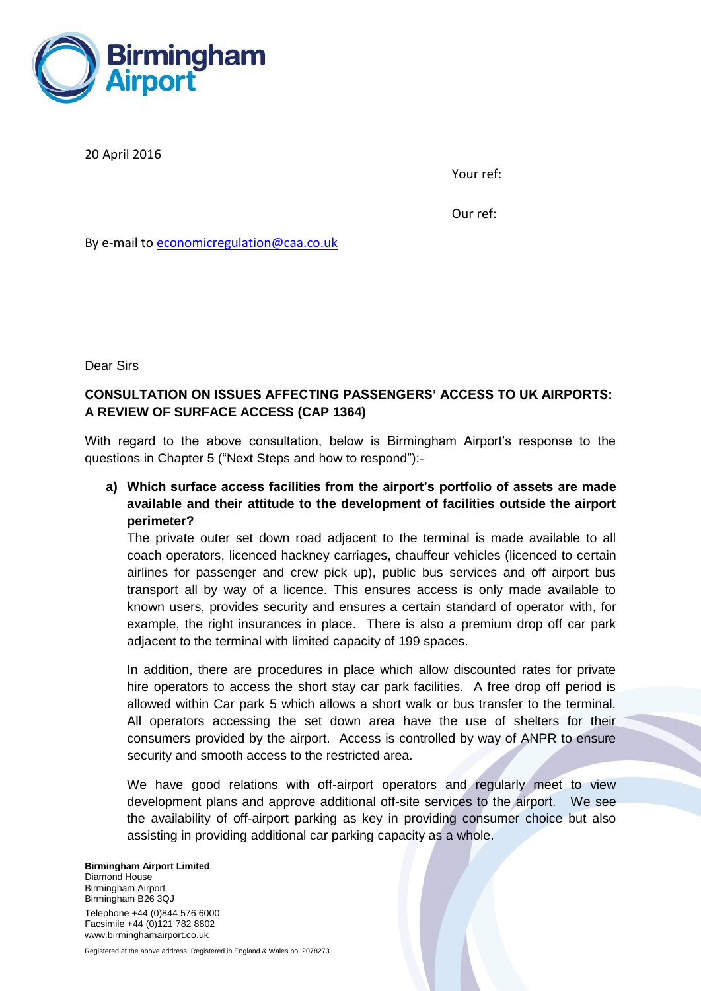

20 April 2016

Your ref:

Our ref:

By e-mail to [economicregulation@caa.co.uk](mailto:economicregulation@caa.co.uk)

Dear Sirs

## **CONSULTATION ON ISSUES AFFECTING PASSENGERS' ACCESS TO UK AIRPORTS: A REVIEW OF SURFACE ACCESS (CAP 1364)**

With regard to the above consultation, below is Birmingham Airport's response to the questions in Chapter 5 ("Next Steps and how to respond"):-

**a) Which surface access facilities from the airport's portfolio of assets are made available and their attitude to the development of facilities outside the airport perimeter?**

The private outer set down road adjacent to the terminal is made available to all coach operators, licenced hackney carriages, chauffeur vehicles (licenced to certain airlines for passenger and crew pick up), public bus services and off airport bus transport all by way of a licence. This ensures access is only made available to known users, provides security and ensures a certain standard of operator with, for example, the right insurances in place. There is also a premium drop off car park adjacent to the terminal with limited capacity of 199 spaces.

In addition, there are procedures in place which allow discounted rates for private hire operators to access the short stay car park facilities. A free drop off period is allowed within Car park 5 which allows a short walk or bus transfer to the terminal. All operators accessing the set down area have the use of shelters for their consumers provided by the airport. Access is controlled by way of ANPR to ensure security and smooth access to the restricted area.

We have good relations with off-airport operators and regularly meet to view development plans and approve additional off-site services to the airport. We see the availability of off-airport parking as key in providing consumer choice but also assisting in providing additional car parking capacity as a whole.

## **Birmingham Airport Limited** Diamond House Birmingham Airport Birmingham B26 3QJ Telephone +44 (0)844 576 6000 Facsimile +44 (0)121 782 8802 www.birminghamairport.co.uk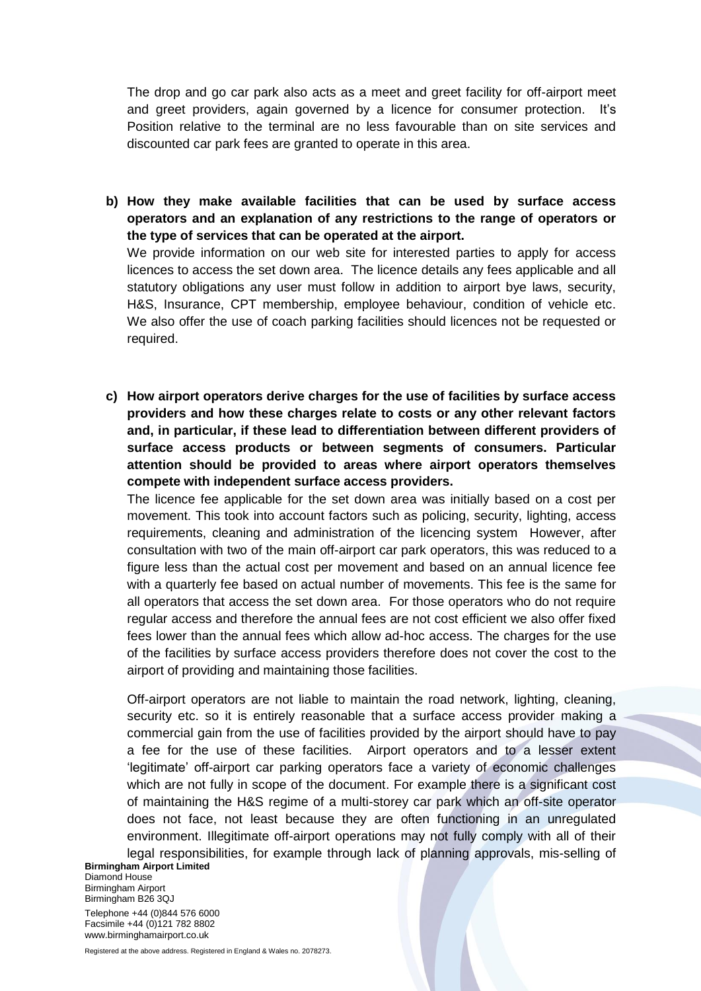The drop and go car park also acts as a meet and greet facility for off-airport meet and greet providers, again governed by a licence for consumer protection. It's Position relative to the terminal are no less favourable than on site services and discounted car park fees are granted to operate in this area.

**b) How they make available facilities that can be used by surface access operators and an explanation of any restrictions to the range of operators or the type of services that can be operated at the airport.**

We provide information on our web site for interested parties to apply for access licences to access the set down area. The licence details any fees applicable and all statutory obligations any user must follow in addition to airport bye laws, security, H&S, Insurance, CPT membership, employee behaviour, condition of vehicle etc. We also offer the use of coach parking facilities should licences not be requested or required.

**c) How airport operators derive charges for the use of facilities by surface access providers and how these charges relate to costs or any other relevant factors and, in particular, if these lead to differentiation between different providers of surface access products or between segments of consumers. Particular attention should be provided to areas where airport operators themselves compete with independent surface access providers.**

The licence fee applicable for the set down area was initially based on a cost per movement. This took into account factors such as policing, security, lighting, access requirements, cleaning and administration of the licencing system However, after consultation with two of the main off-airport car park operators, this was reduced to a figure less than the actual cost per movement and based on an annual licence fee with a quarterly fee based on actual number of movements. This fee is the same for all operators that access the set down area. For those operators who do not require regular access and therefore the annual fees are not cost efficient we also offer fixed fees lower than the annual fees which allow ad-hoc access. The charges for the use of the facilities by surface access providers therefore does not cover the cost to the airport of providing and maintaining those facilities.

**Birmingham Airport Limited** Off-airport operators are not liable to maintain the road network, lighting, cleaning, security etc. so it is entirely reasonable that a surface access provider making a commercial gain from the use of facilities provided by the airport should have to pay a fee for the use of these facilities. Airport operators and to a lesser extent 'legitimate' off-airport car parking operators face a variety of economic challenges which are not fully in scope of the document. For example there is a significant cost of maintaining the H&S regime of a multi-storey car park which an off-site operator does not face, not least because they are often functioning in an unregulated environment. Illegitimate off-airport operations may not fully comply with all of their legal responsibilities, for example through lack of planning approvals, mis-selling of

Diamond House Birmingham Airport Birmingham B26 3QJ Telephone +44 (0)844 576 6000 Facsimile +44 (0)121 782 8802 www.birminghamairport.co.uk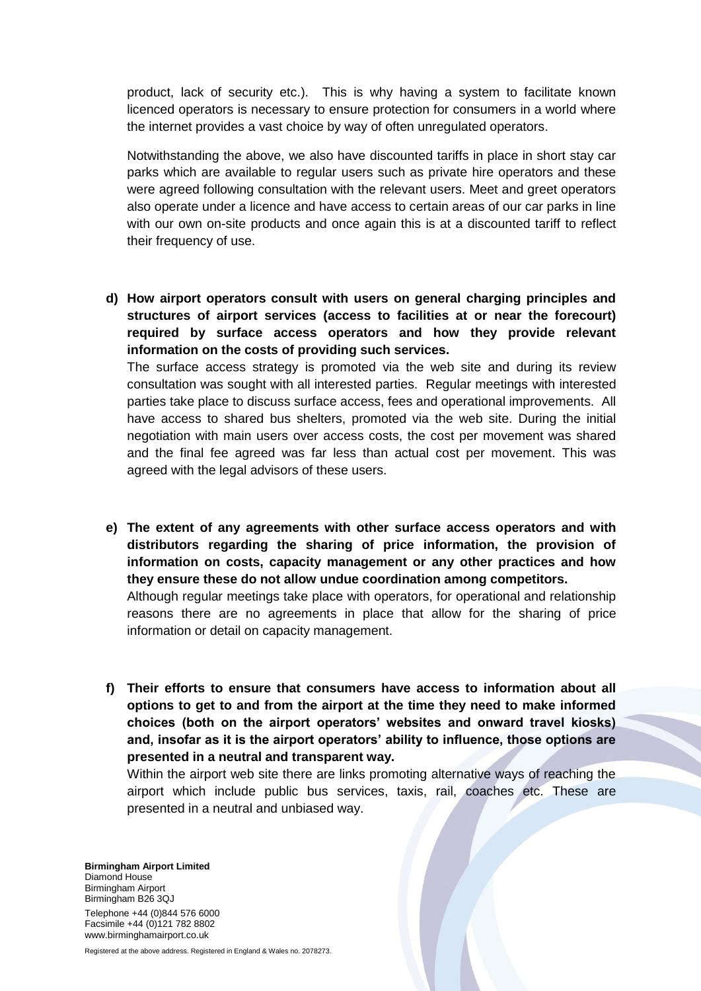product, lack of security etc.). This is why having a system to facilitate known licenced operators is necessary to ensure protection for consumers in a world where the internet provides a vast choice by way of often unregulated operators.

Notwithstanding the above, we also have discounted tariffs in place in short stay car parks which are available to regular users such as private hire operators and these were agreed following consultation with the relevant users. Meet and greet operators also operate under a licence and have access to certain areas of our car parks in line with our own on-site products and once again this is at a discounted tariff to reflect their frequency of use.

**d) How airport operators consult with users on general charging principles and structures of airport services (access to facilities at or near the forecourt) required by surface access operators and how they provide relevant information on the costs of providing such services.** The surface access strategy is promoted via the web site and during its review consultation was sought with all interested parties. Regular meetings with interested parties take place to discuss surface access, fees and operational improvements. All have access to shared bus shelters, promoted via the web site. During the initial

negotiation with main users over access costs, the cost per movement was shared and the final fee agreed was far less than actual cost per movement. This was agreed with the legal advisors of these users.

**e) The extent of any agreements with other surface access operators and with distributors regarding the sharing of price information, the provision of information on costs, capacity management or any other practices and how they ensure these do not allow undue coordination among competitors.**

Although regular meetings take place with operators, for operational and relationship reasons there are no agreements in place that allow for the sharing of price information or detail on capacity management.

**f) Their efforts to ensure that consumers have access to information about all options to get to and from the airport at the time they need to make informed choices (both on the airport operators' websites and onward travel kiosks) and, insofar as it is the airport operators' ability to influence, those options are presented in a neutral and transparent way.**

Within the airport web site there are links promoting alternative ways of reaching the airport which include public bus services, taxis, rail, coaches etc. These are presented in a neutral and unbiased way.

**Birmingham Airport Limited** Diamond House Birmingham Airport Birmingham B26 3QJ Telephone +44 (0)844 576 6000 Facsimile +44 (0)121 782 8802 www.birminghamairport.co.uk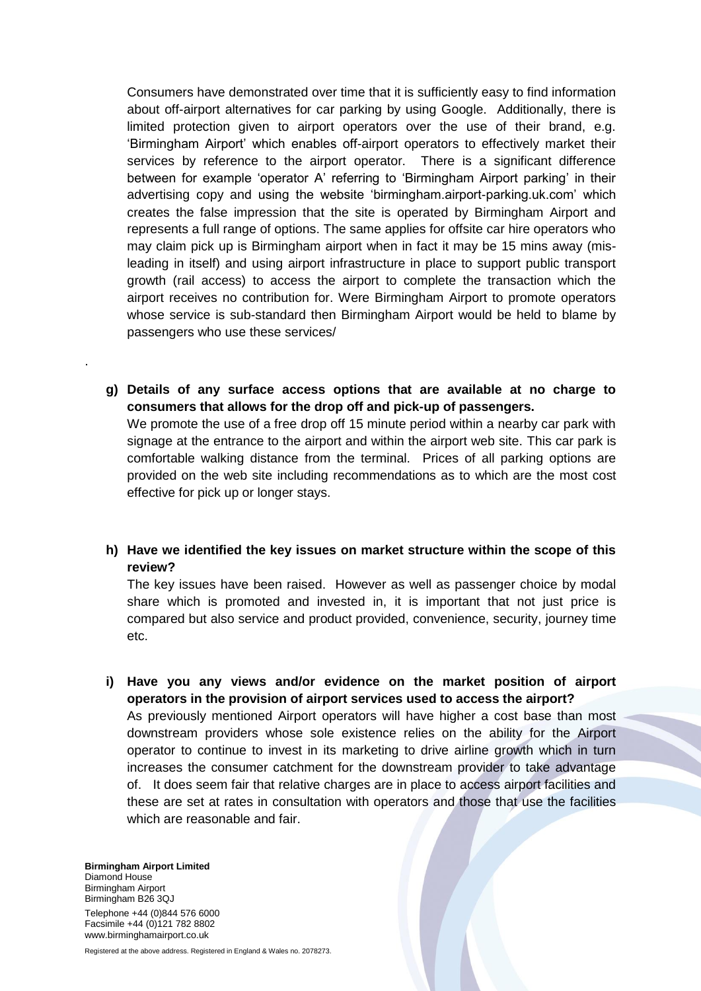Consumers have demonstrated over time that it is sufficiently easy to find information about off-airport alternatives for car parking by using Google. Additionally, there is limited protection given to airport operators over the use of their brand, e.g. 'Birmingham Airport' which enables off-airport operators to effectively market their services by reference to the airport operator. There is a significant difference between for example 'operator A' referring to 'Birmingham Airport parking' in their advertising copy and using the website 'birmingham.airport-parking.uk.com' which creates the false impression that the site is operated by Birmingham Airport and represents a full range of options. The same applies for offsite car hire operators who may claim pick up is Birmingham airport when in fact it may be 15 mins away (misleading in itself) and using airport infrastructure in place to support public transport growth (rail access) to access the airport to complete the transaction which the airport receives no contribution for. Were Birmingham Airport to promote operators whose service is sub-standard then Birmingham Airport would be held to blame by passengers who use these services/

**g) Details of any surface access options that are available at no charge to consumers that allows for the drop off and pick-up of passengers.**

We promote the use of a free drop off 15 minute period within a nearby car park with signage at the entrance to the airport and within the airport web site. This car park is comfortable walking distance from the terminal. Prices of all parking options are provided on the web site including recommendations as to which are the most cost effective for pick up or longer stays.

**h) Have we identified the key issues on market structure within the scope of this review?**

The key issues have been raised. However as well as passenger choice by modal share which is promoted and invested in, it is important that not just price is compared but also service and product provided, convenience, security, journey time etc.

**i) Have you any views and/or evidence on the market position of airport operators in the provision of airport services used to access the airport?** As previously mentioned Airport operators will have higher a cost base than most downstream providers whose sole existence relies on the ability for the Airport operator to continue to invest in its marketing to drive airline growth which in turn increases the consumer catchment for the downstream provider to take advantage of. It does seem fair that relative charges are in place to access airport facilities and these are set at rates in consultation with operators and those that use the facilities which are reasonable and fair.

**Birmingham Airport Limited** Diamond House Birmingham Airport Birmingham B26 3QJ Telephone +44 (0)844 576 6000 Facsimile +44 (0)121 782 8802 www.birminghamairport.co.uk

.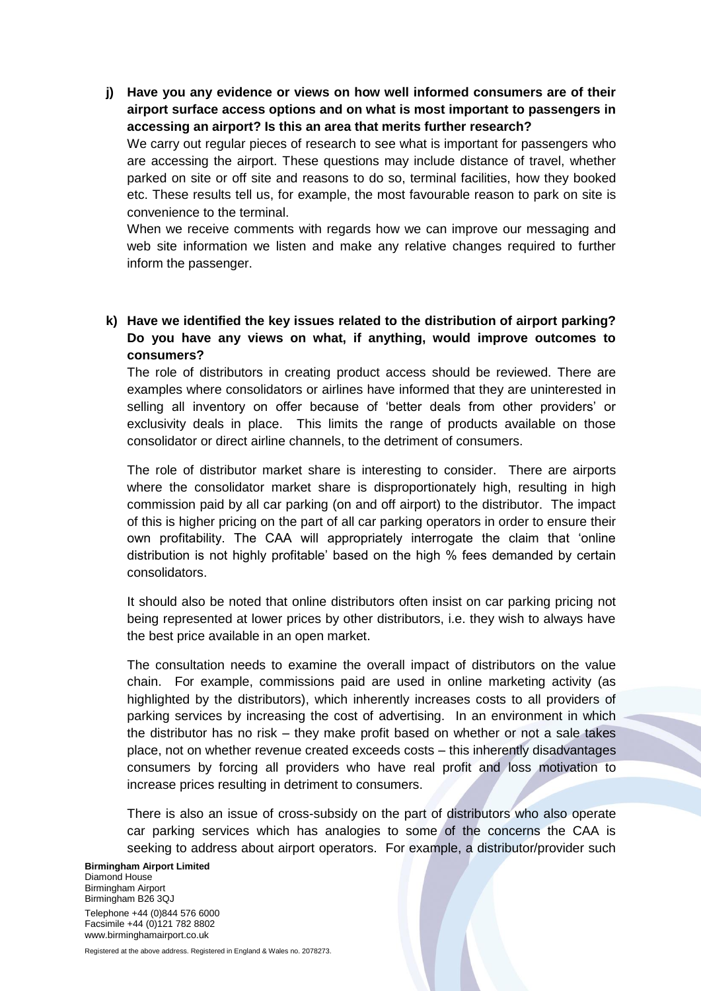**j) Have you any evidence or views on how well informed consumers are of their airport surface access options and on what is most important to passengers in accessing an airport? Is this an area that merits further research?**

We carry out regular pieces of research to see what is important for passengers who are accessing the airport. These questions may include distance of travel, whether parked on site or off site and reasons to do so, terminal facilities, how they booked etc. These results tell us, for example, the most favourable reason to park on site is convenience to the terminal.

When we receive comments with regards how we can improve our messaging and web site information we listen and make any relative changes required to further inform the passenger.

**k) Have we identified the key issues related to the distribution of airport parking? Do you have any views on what, if anything, would improve outcomes to consumers?**

The role of distributors in creating product access should be reviewed. There are examples where consolidators or airlines have informed that they are uninterested in selling all inventory on offer because of 'better deals from other providers' or exclusivity deals in place. This limits the range of products available on those consolidator or direct airline channels, to the detriment of consumers.

The role of distributor market share is interesting to consider. There are airports where the consolidator market share is disproportionately high, resulting in high commission paid by all car parking (on and off airport) to the distributor. The impact of this is higher pricing on the part of all car parking operators in order to ensure their own profitability. The CAA will appropriately interrogate the claim that 'online distribution is not highly profitable' based on the high % fees demanded by certain consolidators.

It should also be noted that online distributors often insist on car parking pricing not being represented at lower prices by other distributors, i.e. they wish to always have the best price available in an open market.

The consultation needs to examine the overall impact of distributors on the value chain. For example, commissions paid are used in online marketing activity (as highlighted by the distributors), which inherently increases costs to all providers of parking services by increasing the cost of advertising. In an environment in which the distributor has no risk – they make profit based on whether or not a sale takes place, not on whether revenue created exceeds costs – this inherently disadvantages consumers by forcing all providers who have real profit and loss motivation to increase prices resulting in detriment to consumers.

There is also an issue of cross-subsidy on the part of distributors who also operate car parking services which has analogies to some of the concerns the CAA is seeking to address about airport operators. For example, a distributor/provider such

**Birmingham Airport Limited** Diamond House Birmingham Airport Birmingham B26 3QJ Telephone +44 (0)844 576 6000 Facsimile +44 (0)121 782 8802 www.birminghamairport.co.uk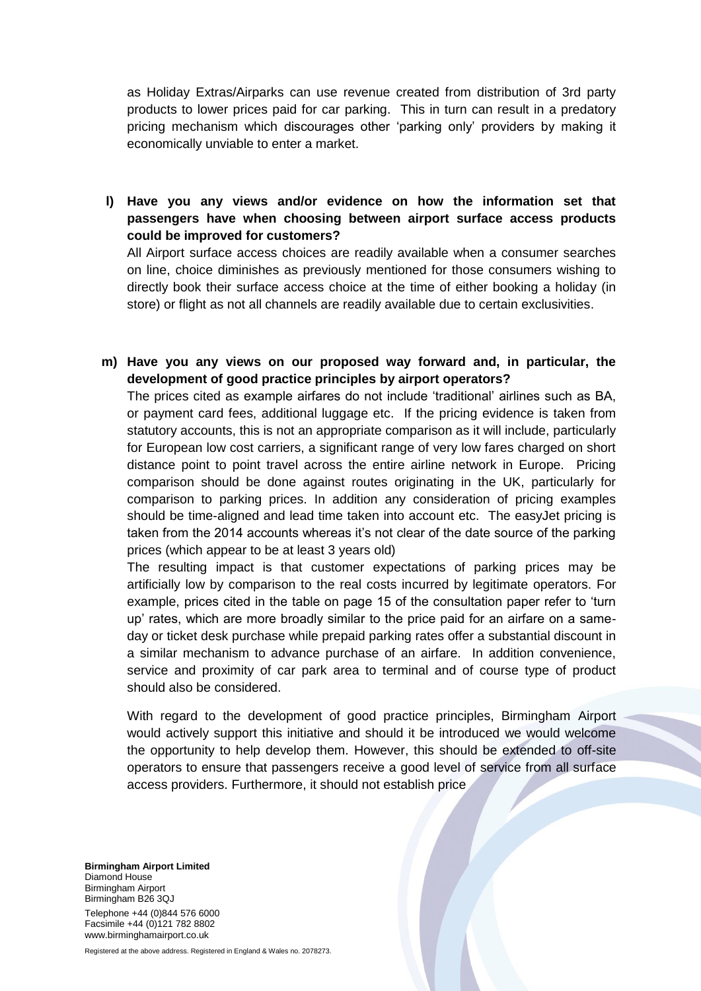as Holiday Extras/Airparks can use revenue created from distribution of 3rd party products to lower prices paid for car parking. This in turn can result in a predatory pricing mechanism which discourages other 'parking only' providers by making it economically unviable to enter a market.

**l) Have you any views and/or evidence on how the information set that passengers have when choosing between airport surface access products could be improved for customers?**

All Airport surface access choices are readily available when a consumer searches on line, choice diminishes as previously mentioned for those consumers wishing to directly book their surface access choice at the time of either booking a holiday (in store) or flight as not all channels are readily available due to certain exclusivities.

**m) Have you any views on our proposed way forward and, in particular, the development of good practice principles by airport operators?**

The prices cited as example airfares do not include 'traditional' airlines such as BA, or payment card fees, additional luggage etc. If the pricing evidence is taken from statutory accounts, this is not an appropriate comparison as it will include, particularly for European low cost carriers, a significant range of very low fares charged on short distance point to point travel across the entire airline network in Europe. Pricing comparison should be done against routes originating in the UK, particularly for comparison to parking prices. In addition any consideration of pricing examples should be time-aligned and lead time taken into account etc. The easyJet pricing is taken from the 2014 accounts whereas it's not clear of the date source of the parking prices (which appear to be at least 3 years old)

The resulting impact is that customer expectations of parking prices may be artificially low by comparison to the real costs incurred by legitimate operators. For example, prices cited in the table on page 15 of the consultation paper refer to 'turn up' rates, which are more broadly similar to the price paid for an airfare on a sameday or ticket desk purchase while prepaid parking rates offer a substantial discount in a similar mechanism to advance purchase of an airfare. In addition convenience, service and proximity of car park area to terminal and of course type of product should also be considered.

With regard to the development of good practice principles, Birmingham Airport would actively support this initiative and should it be introduced we would welcome the opportunity to help develop them. However, this should be extended to off-site operators to ensure that passengers receive a good level of service from all surface access providers. Furthermore, it should not establish price

**Birmingham Airport Limited** Diamond House Birmingham Airport Birmingham B26 3QJ Telephone +44 (0)844 576 6000 Facsimile +44 (0)121 782 8802 www.birminghamairport.co.uk